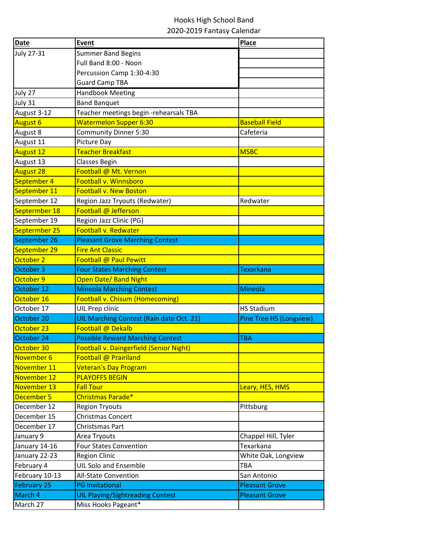## Hooks High School Band 2020-2019 Fantasy Calendar

| Date               | Event                                          | <b>Place</b>            |
|--------------------|------------------------------------------------|-------------------------|
| <b>July 27-31</b>  | <b>Summer Band Begins</b>                      |                         |
|                    | Full Band 8:00 - Noon                          |                         |
|                    | Percussion Camp 1:30-4:30                      |                         |
|                    | <b>Guard Camp TBA</b>                          |                         |
| July 27            | <b>Handbook Meeting</b>                        |                         |
| July 31            | <b>Band Banquet</b>                            |                         |
| August 3-12        | Teacher meetings begin -rehearsals TBA         |                         |
| <b>August 6</b>    | <b>Watermelon Supper 6:30</b>                  | <b>Baseball Field</b>   |
| August 8           | Community Dinner 5:30                          | Cafeteria               |
| August 11          | Picture Day                                    |                         |
| <b>August 12</b>   | Teacher Breakfast                              | <b>MSBC</b>             |
| August 13          | Classes Begin                                  |                         |
| <b>August 28</b>   | Football @ Mt. Vernon                          |                         |
| September 4        | Football v. Winnsboro                          |                         |
| September 11       | <b>Football v. New Boston</b>                  |                         |
| September 12       | Region Jazz Tryouts (Redwater)                 | Redwater                |
| Septermber 18      | Football @ Jefferson                           |                         |
| September 19       | Region Jazz Clinic (PG)                        |                         |
| Septermber 25      | <b>Football v. Redwater</b>                    |                         |
| September 26       | <b>Pleasant Grove Marching Contest</b>         |                         |
| September 29       | <b>Fire Ant Classic</b>                        |                         |
| October 2          | Football @ Paul Pewitt                         |                         |
| October 3          | <b>Four States Marching Contest</b>            | <b>Texarkana</b>        |
| October 9          | <b>Open Date/ Band Night</b>                   |                         |
| October 12         | <b>Mineola Marching Contest</b>                | Mineola                 |
| October 16         | <b>Football v. Chisum (Homecoming)</b>         |                         |
| October 17         | UIL Prep clinic                                | <b>HS Stadium</b>       |
| October 20         | UIL Marching Contest (Rain date Oct. 21)       | Pine Tree HS (Longview) |
| October 23         | Football @ Dekalb                              |                         |
| October 24         | <b>Possible Reward Marching Contest</b>        | <b>TBA</b>              |
| October 30         | <b>Football v. Daingerfield (Senior Night)</b> |                         |
| November 6         | Football @ Prairiland                          |                         |
| November 11        | <b>Veteran's Day Program</b>                   |                         |
| November 12        | <b>PLAYOFFS BEGIN</b>                          |                         |
| November 13        | <b>Fall Tour</b>                               | Leary, HES, HMS         |
| December 5         | Christmas Parade*                              |                         |
| December 12        | <b>Region Tryouts</b>                          | Pittsburg               |
| December 15        | <b>Christmas Concert</b>                       |                         |
| December 17        | Christsmas Part                                |                         |
| January 9          | Area Tryouts                                   | Chappel Hill, Tyler     |
| January 14-16      | <b>Four States Convention</b>                  | Texarkana               |
| January 22-23      | <b>Region Clinic</b>                           | White Oak, Longview     |
| February 4         | <b>UIL Solo and Ensemble</b>                   | <b>TBA</b>              |
| February 10-13     | All-State Convention                           | San Antonio             |
| <b>February 25</b> | <b>PG Invitational</b>                         | <b>Pleasant Grove</b>   |
| March 4            | <b>UIL Playing/Sightreading Contest</b>        | <b>Pleasant Grove</b>   |
| March 27           | Miss Hooks Pageant*                            |                         |